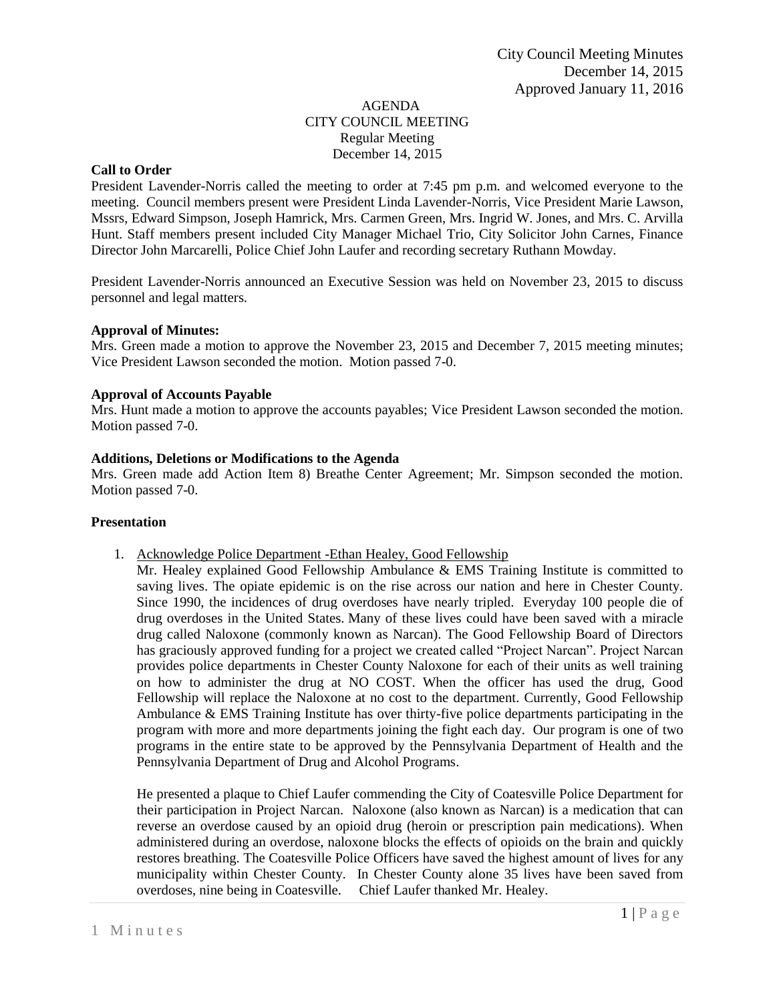#### AGENDA CITY COUNCIL MEETING Regular Meeting December 14, 2015

# **Call to Order**

President Lavender-Norris called the meeting to order at 7:45 pm p.m. and welcomed everyone to the meeting. Council members present were President Linda Lavender-Norris, Vice President Marie Lawson, Mssrs, Edward Simpson, Joseph Hamrick, Mrs. Carmen Green, Mrs. Ingrid W. Jones, and Mrs. C. Arvilla Hunt. Staff members present included City Manager Michael Trio, City Solicitor John Carnes, Finance Director John Marcarelli, Police Chief John Laufer and recording secretary Ruthann Mowday.

President Lavender-Norris announced an Executive Session was held on November 23, 2015 to discuss personnel and legal matters.

## **Approval of Minutes:**

Mrs. Green made a motion to approve the November 23, 2015 and December 7, 2015 meeting minutes; Vice President Lawson seconded the motion. Motion passed 7-0.

#### **Approval of Accounts Payable**

Mrs. Hunt made a motion to approve the accounts payables; Vice President Lawson seconded the motion. Motion passed 7-0.

## **Additions, Deletions or Modifications to the Agenda**

Mrs. Green made add Action Item 8) Breathe Center Agreement; Mr. Simpson seconded the motion. Motion passed 7-0.

#### **Presentation**

1. Acknowledge Police Department -Ethan Healey, Good Fellowship

Mr. Healey explained Good Fellowship Ambulance & EMS Training Institute is committed to saving lives. The opiate epidemic is on the rise across our nation and here in Chester County. Since 1990, the incidences of drug overdoses have nearly tripled. Everyday 100 people die of drug overdoses in the United States. Many of these lives could have been saved with a miracle drug called Naloxone (commonly known as Narcan). The Good Fellowship Board of Directors has graciously approved funding for a project we created called "Project Narcan". Project Narcan provides police departments in Chester County Naloxone for each of their units as well training on how to administer the drug at NO COST. When the officer has used the drug, Good Fellowship will replace the Naloxone at no cost to the department. Currently, Good Fellowship Ambulance & EMS Training Institute has over thirty-five police departments participating in the program with more and more departments joining the fight each day. Our program is one of two programs in the entire state to be approved by the Pennsylvania Department of Health and the Pennsylvania Department of Drug and Alcohol Programs.

He presented a plaque to Chief Laufer commending the City of Coatesville Police Department for their participation in Project Narcan. Naloxone (also known as Narcan) is a medication that can reverse an overdose caused by an opioid drug (heroin or prescription pain medications). When administered during an overdose, naloxone blocks the effects of opioids on the brain and quickly restores breathing. The Coatesville Police Officers have saved the highest amount of lives for any municipality within Chester County. In Chester County alone 35 lives have been saved from overdoses, nine being in Coatesville. Chief Laufer thanked Mr. Healey.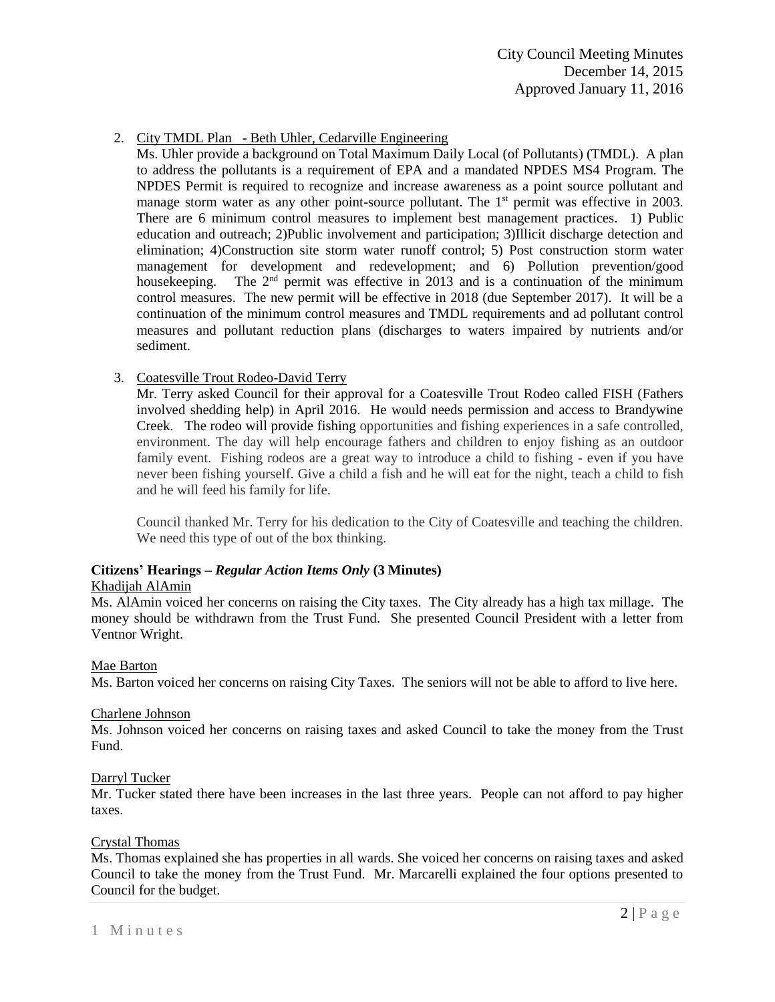# 2. City TMDL Plan - Beth Uhler, Cedarville Engineering

Ms. Uhler provide a background on Total Maximum Daily Local (of Pollutants) (TMDL). A plan to address the pollutants is a requirement of EPA and a mandated NPDES MS4 Program. The NPDES Permit is required to recognize and increase awareness as a point source pollutant and manage storm water as any other point-source pollutant. The 1<sup>st</sup> permit was effective in 2003. There are 6 minimum control measures to implement best management practices. 1) Public education and outreach; 2)Public involvement and participation; 3)Illicit discharge detection and elimination; 4)Construction site storm water runoff control; 5) Post construction storm water management for development and redevelopment; and 6) Pollution prevention/good housekeeping. The  $2<sup>nd</sup>$  permit was effective in 2013 and is a continuation of the minimum control measures. The new permit will be effective in 2018 (due September 2017). It will be a continuation of the minimum control measures and TMDL requirements and ad pollutant control measures and pollutant reduction plans (discharges to waters impaired by nutrients and/or sediment.

## 3. Coatesville Trout Rodeo-David Terry

Mr. Terry asked Council for their approval for a Coatesville Trout Rodeo called FISH (Fathers involved shedding help) in April 2016. He would needs permission and access to Brandywine Creek. The rodeo will provide fishing opportunities and fishing experiences in a safe controlled, environment. The day will help encourage fathers and children to enjoy fishing as an outdoor family event. Fishing rodeos are a great way to introduce a child to fishing - even if you have never been fishing yourself. Give a child a fish and he will eat for the night, teach a child to fish and he will feed his family for life.

Council thanked Mr. Terry for his dedication to the City of Coatesville and teaching the children. We need this type of out of the box thinking.

## **Citizens' Hearings –** *Regular Action Items Only* **(3 Minutes)**

## Khadijah AlAmin

Ms. AlAmin voiced her concerns on raising the City taxes. The City already has a high tax millage. The money should be withdrawn from the Trust Fund. She presented Council President with a letter from Ventnor Wright.

## Mae Barton

Ms. Barton voiced her concerns on raising City Taxes. The seniors will not be able to afford to live here.

#### Charlene Johnson

Ms. Johnson voiced her concerns on raising taxes and asked Council to take the money from the Trust Fund.

## Darryl Tucker

Mr. Tucker stated there have been increases in the last three years. People can not afford to pay higher taxes.

#### Crystal Thomas

Ms. Thomas explained she has properties in all wards. She voiced her concerns on raising taxes and asked Council to take the money from the Trust Fund. Mr. Marcarelli explained the four options presented to Council for the budget.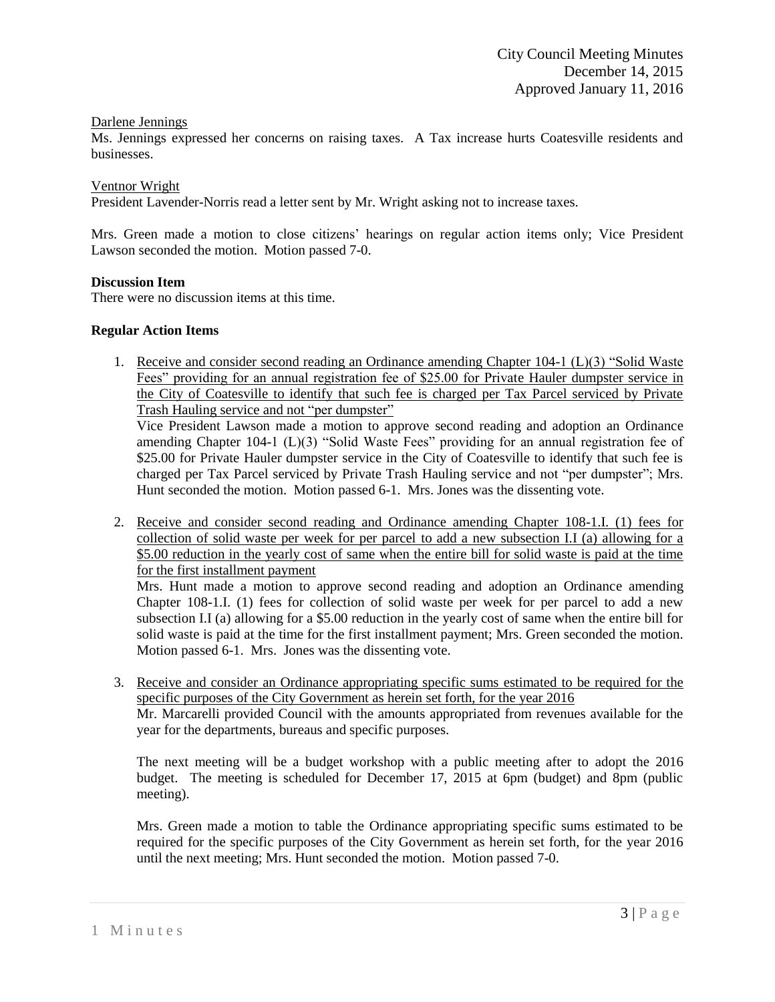## Darlene Jennings

Ms. Jennings expressed her concerns on raising taxes. A Tax increase hurts Coatesville residents and businesses.

#### Ventnor Wright

President Lavender-Norris read a letter sent by Mr. Wright asking not to increase taxes.

Mrs. Green made a motion to close citizens' hearings on regular action items only; Vice President Lawson seconded the motion. Motion passed 7-0.

#### **Discussion Item**

There were no discussion items at this time.

#### **Regular Action Items**

1. Receive and consider second reading an Ordinance amending Chapter 104-1 (L)(3) "Solid Waste Fees" providing for an annual registration fee of \$25.00 for Private Hauler dumpster service in the City of Coatesville to identify that such fee is charged per Tax Parcel serviced by Private Trash Hauling service and not "per dumpster"

Vice President Lawson made a motion to approve second reading and adoption an Ordinance amending Chapter 104-1 (L)(3) "Solid Waste Fees" providing for an annual registration fee of \$25.00 for Private Hauler dumpster service in the City of Coatesville to identify that such fee is charged per Tax Parcel serviced by Private Trash Hauling service and not "per dumpster"; Mrs. Hunt seconded the motion. Motion passed 6-1. Mrs. Jones was the dissenting vote.

2. Receive and consider second reading and Ordinance amending Chapter 108-1.I. (1) fees for collection of solid waste per week for per parcel to add a new subsection I.I (a) allowing for a \$5.00 reduction in the yearly cost of same when the entire bill for solid waste is paid at the time for the first installment payment

Mrs. Hunt made a motion to approve second reading and adoption an Ordinance amending Chapter 108-1.I. (1) fees for collection of solid waste per week for per parcel to add a new subsection I.I (a) allowing for a \$5.00 reduction in the yearly cost of same when the entire bill for solid waste is paid at the time for the first installment payment; Mrs. Green seconded the motion. Motion passed 6-1. Mrs. Jones was the dissenting vote.

3. Receive and consider an Ordinance appropriating specific sums estimated to be required for the specific purposes of the City Government as herein set forth, for the year 2016 Mr. Marcarelli provided Council with the amounts appropriated from revenues available for the year for the departments, bureaus and specific purposes.

The next meeting will be a budget workshop with a public meeting after to adopt the 2016 budget. The meeting is scheduled for December 17, 2015 at 6pm (budget) and 8pm (public meeting).

Mrs. Green made a motion to table the Ordinance appropriating specific sums estimated to be required for the specific purposes of the City Government as herein set forth, for the year 2016 until the next meeting; Mrs. Hunt seconded the motion. Motion passed 7-0.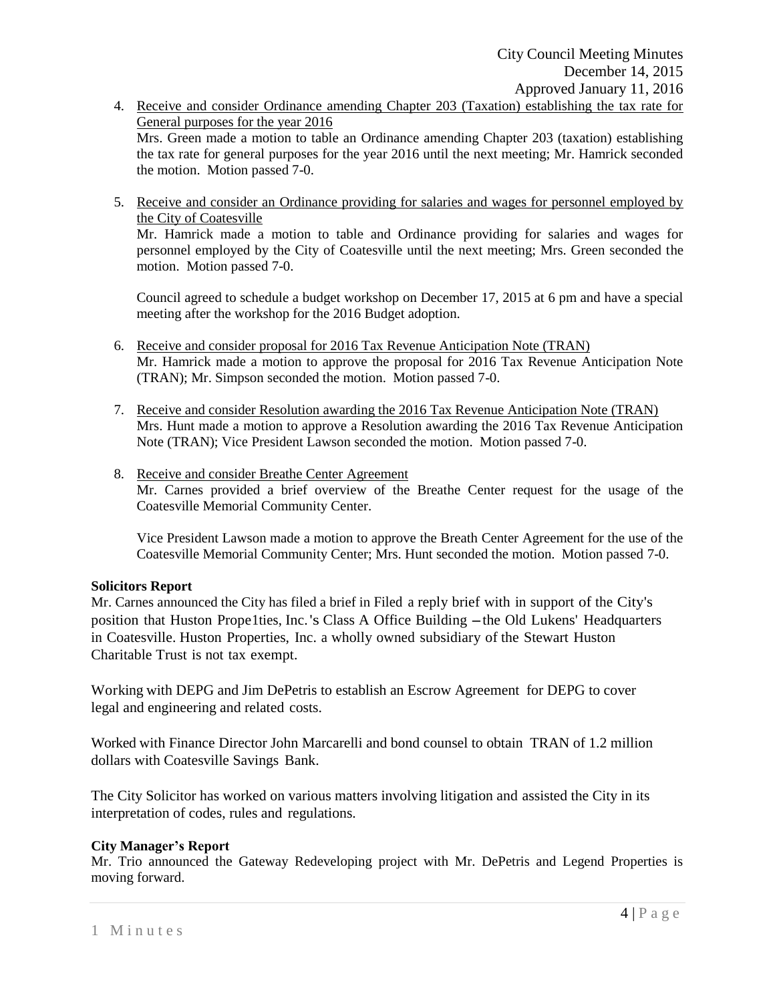- 4. Receive and consider Ordinance amending Chapter 203 (Taxation) establishing the tax rate for General purposes for the year 2016 Mrs. Green made a motion to table an Ordinance amending Chapter 203 (taxation) establishing the tax rate for general purposes for the year 2016 until the next meeting; Mr. Hamrick seconded the motion. Motion passed 7-0.
- 5. Receive and consider an Ordinance providing for salaries and wages for personnel employed by the City of Coatesville Mr. Hamrick made a motion to table and Ordinance providing for salaries and wages for personnel employed by the City of Coatesville until the next meeting; Mrs. Green seconded the motion. Motion passed 7-0.

Council agreed to schedule a budget workshop on December 17, 2015 at 6 pm and have a special meeting after the workshop for the 2016 Budget adoption.

- 6. Receive and consider proposal for 2016 Tax Revenue Anticipation Note (TRAN) Mr. Hamrick made a motion to approve the proposal for 2016 Tax Revenue Anticipation Note (TRAN); Mr. Simpson seconded the motion. Motion passed 7-0.
- 7. Receive and consider Resolution awarding the 2016 Tax Revenue Anticipation Note (TRAN) Mrs. Hunt made a motion to approve a Resolution awarding the 2016 Tax Revenue Anticipation Note (TRAN); Vice President Lawson seconded the motion. Motion passed 7-0.
- 8. Receive and consider Breathe Center Agreement Mr. Carnes provided a brief overview of the Breathe Center request for the usage of the Coatesville Memorial Community Center.

Vice President Lawson made a motion to approve the Breath Center Agreement for the use of the Coatesville Memorial Community Center; Mrs. Hunt seconded the motion. Motion passed 7-0.

## **Solicitors Report**

Mr. Carnes announced the City has filed a brief in Filed a reply brief with in support of the City's position that Huston Prope1ties, Inc.'s Class <sup>A</sup> Office Building -the Old Lukens' Headquarters in Coatesville. Huston Properties, Inc. a wholly owned subsidiary of the Stewart Huston Charitable Trust is not tax exempt.

Working with DEPG and Jim DePetris to establish an Escrow Agreement for DEPG to cover legal and engineering and related costs.

Worked with Finance Director John Marcarelli and bond counsel to obtain TRAN of 1.2 million dollars with Coatesville Savings Bank.

The City Solicitor has worked on various matters involving litigation and assisted the City in its interpretation of codes, rules and regulations.

# **City Manager's Report**

Mr. Trio announced the Gateway Redeveloping project with Mr. DePetris and Legend Properties is moving forward.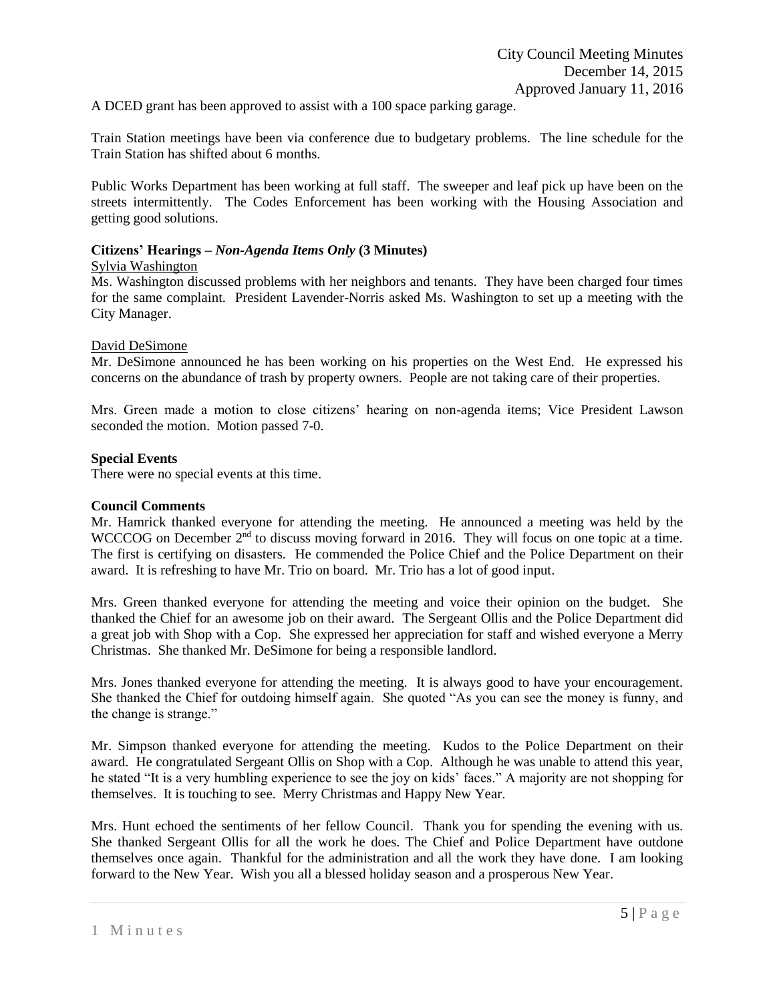A DCED grant has been approved to assist with a 100 space parking garage.

Train Station meetings have been via conference due to budgetary problems. The line schedule for the Train Station has shifted about 6 months.

Public Works Department has been working at full staff. The sweeper and leaf pick up have been on the streets intermittently. The Codes Enforcement has been working with the Housing Association and getting good solutions.

# **Citizens' Hearings –** *Non-Agenda Items Only* **(3 Minutes)**

## Sylvia Washington

Ms. Washington discussed problems with her neighbors and tenants. They have been charged four times for the same complaint. President Lavender-Norris asked Ms. Washington to set up a meeting with the City Manager.

# David DeSimone

Mr. DeSimone announced he has been working on his properties on the West End. He expressed his concerns on the abundance of trash by property owners. People are not taking care of their properties.

Mrs. Green made a motion to close citizens' hearing on non-agenda items; Vice President Lawson seconded the motion. Motion passed 7-0.

# **Special Events**

There were no special events at this time.

# **Council Comments**

Mr. Hamrick thanked everyone for attending the meeting. He announced a meeting was held by the WCCCOG on December  $2<sup>nd</sup>$  to discuss moving forward in 2016. They will focus on one topic at a time. The first is certifying on disasters. He commended the Police Chief and the Police Department on their award. It is refreshing to have Mr. Trio on board. Mr. Trio has a lot of good input.

Mrs. Green thanked everyone for attending the meeting and voice their opinion on the budget. She thanked the Chief for an awesome job on their award. The Sergeant Ollis and the Police Department did a great job with Shop with a Cop. She expressed her appreciation for staff and wished everyone a Merry Christmas. She thanked Mr. DeSimone for being a responsible landlord.

Mrs. Jones thanked everyone for attending the meeting. It is always good to have your encouragement. She thanked the Chief for outdoing himself again. She quoted "As you can see the money is funny, and the change is strange."

Mr. Simpson thanked everyone for attending the meeting. Kudos to the Police Department on their award. He congratulated Sergeant Ollis on Shop with a Cop. Although he was unable to attend this year, he stated "It is a very humbling experience to see the joy on kids' faces." A majority are not shopping for themselves. It is touching to see. Merry Christmas and Happy New Year.

Mrs. Hunt echoed the sentiments of her fellow Council. Thank you for spending the evening with us. She thanked Sergeant Ollis for all the work he does. The Chief and Police Department have outdone themselves once again. Thankful for the administration and all the work they have done. I am looking forward to the New Year. Wish you all a blessed holiday season and a prosperous New Year.